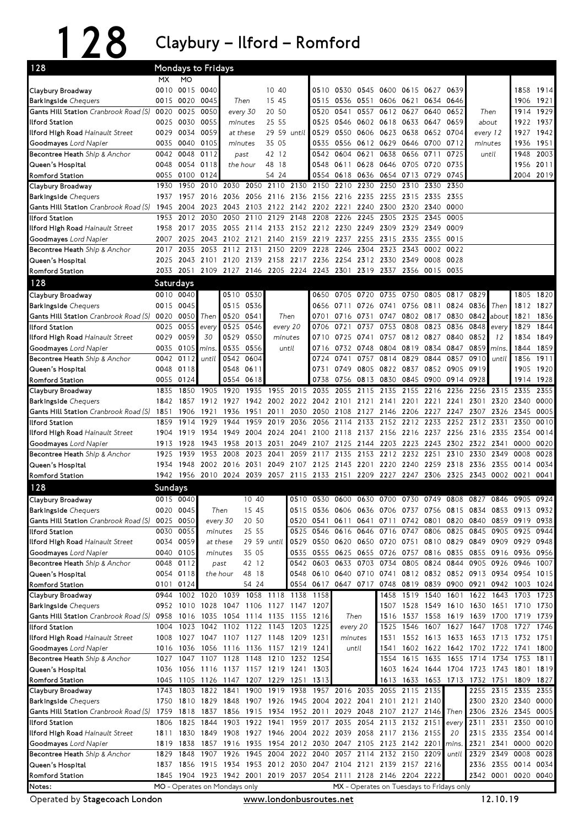128 Claybury–Ilford–Romford

| 128                                                                  | Mondays to Fridays |                        |                        |                               |                                                                                      |                      |                  |                                                        |                                          |                               |                                            |                |                |             |                     |                |                                                             |              |
|----------------------------------------------------------------------|--------------------|------------------------|------------------------|-------------------------------|--------------------------------------------------------------------------------------|----------------------|------------------|--------------------------------------------------------|------------------------------------------|-------------------------------|--------------------------------------------|----------------|----------------|-------------|---------------------|----------------|-------------------------------------------------------------|--------------|
|                                                                      | MX.                | <b>MO</b>              |                        |                               |                                                                                      |                      |                  |                                                        |                                          |                               |                                            |                |                |             |                     |                |                                                             |              |
| Claybury Broadway                                                    | 0010               | 0015 0040              |                        |                               |                                                                                      | 10 40                |                  |                                                        | 0510 0530                                |                               | 0545 0600 0615 0627                        |                |                | 0639        |                     |                | 1858                                                        | 1914         |
| <b>Barkingside</b> Chequers                                          | 0015               | 0020                   | 0045                   | Then                          |                                                                                      | 15 45                |                  |                                                        | 0515 0536 0551 0606 0621<br>0634<br>0646 |                               |                                            |                | 1906           | 1921        |                     |                |                                                             |              |
| <b>Gants Hill Station</b> Cranbrook Road (S)                         | 0020               | 0025                   | 0050                   | every 30                      |                                                                                      | 20 50                |                  | 0520                                                   | 0541                                     | 0557                          | 0612 0627                                  |                | 0640           | 0652        | Then                |                | 1914                                                        | 1929         |
| llford Station                                                       | 0025               | 0030<br>0034           | 0055<br>0059           | minutes<br>at these           |                                                                                      | 25 55<br>29 59 until |                  | 0525                                                   | 0546<br>0550                             |                               | 0602 0618 0633                             |                | 0647           | 0659        | about               |                | 1922                                                        | 1937         |
| llford High Road Hainault Street<br>Goodmayes Lord Napier            | 0029<br>0035       | 0040                   | 0105                   | minutes                       |                                                                                      | 35 05                |                  | 0529<br>0535                                           | 0556                                     |                               | 0606 0623 0638<br>0612 0629 0646 0700 0712 |                | 0652 0704      |             | every 12<br>minutes |                | 1927<br>1936                                                | 1942<br>1951 |
| Becontree Heath Ship & Anchor                                        | 0042               | 0048                   | 0112                   | past                          |                                                                                      | 42 12                |                  |                                                        | 0542 0604                                | 0621                          | 0638                                       | 0656           | 0711           | 0725        | until               |                | 1948                                                        | 2003         |
| Queen's Hospital                                                     | 0048               | 0054                   | 0118                   | the hour                      |                                                                                      | 48 18                |                  | 0548                                                   | 0611                                     | 0628                          | 0646 0705 0720                             |                |                | 0735        |                     |                | 1956                                                        | 2011         |
| Romford Station                                                      | 0055               | 0100                   | 0124                   |                               |                                                                                      | 54 24                |                  | 0554                                                   | 0618                                     | 0636                          | 0654 0713                                  |                | 0729           | 0745        |                     |                | 2004 2019                                                   |              |
| Claybury Broadway                                                    | 1930               | 1950                   |                        | 2010 2030                     | 2050                                                                                 |                      | 2110 2130        | 2150                                                   | 2210                                     | 2230                          | 2250                                       | 2310           | 2330           | 2350        |                     |                |                                                             |              |
| Barkingside Chequers                                                 | 1937               | 1957                   | 2016                   | 2036                          |                                                                                      |                      | 2056 2116 2136   | 2156 2216 2235                                         |                                          |                               | 2255                                       | 2315           | 2335           | 2355        |                     |                |                                                             |              |
| Gants Hill Station Cranbrook Road (S)                                | 1945               | 2004                   |                        | 2023 2043                     | 2103 2122 2142 2202 2221                                                             |                      |                  |                                                        |                                          | 2240                          | 2300                                       | 2320           | 2340           | 0000        |                     |                |                                                             |              |
| llford Station                                                       | 1953               | 2012                   | 2030                   | 2050                          | 2110                                                                                 | 2129                 | 2148             | 2208                                                   | 2226                                     | 2245                          | 2305                                       | 2325           | 2345           | 0005        |                     |                |                                                             |              |
| l <b>lford High Road</b> Hainault Street                             | 1958               | 2017                   |                        | 2035 2055                     |                                                                                      |                      | 2114 2133 2152   | 2212 2230                                              |                                          | 2249                          | 2309                                       | 2329           | 2349           | 0009        |                     |                |                                                             |              |
| <b>Goodmayes</b> Lord Napier                                         | 2007               | 2025                   | 2043 2102              |                               | 2121 2140                                                                            |                      | 2159             | 2219 2237                                              |                                          | 2255                          | 2315 2335                                  |                | 2355           | 0015        |                     |                |                                                             |              |
| Becontree Heath Ship & Anchor                                        | 2017               | 2035                   |                        | 2053 2112                     | 2131                                                                                 | 2150                 | 2209             | 2228                                                   | 2246                                     | 2304                          | 2323                                       | 2343           | 0002           | 0022        |                     |                |                                                             |              |
| Queen's Hospital                                                     | 2025               | 2043                   | 2101 2120              |                               | 2139 2158 2217                                                                       |                      |                  |                                                        |                                          | 2236 2254 2312 2330           |                                            | 2349           | 0008           | 0028        |                     |                |                                                             |              |
| Romford Station                                                      | 2033               | 2051                   |                        |                               | 2109 2127 2146 2205 2224 2243 2301                                                   |                      |                  |                                                        |                                          |                               | 2319 2337                                  | 2356           | 0015           | 0035        |                     |                |                                                             |              |
| 128                                                                  | Saturdays          |                        |                        |                               |                                                                                      |                      |                  |                                                        |                                          |                               |                                            |                |                |             |                     |                |                                                             |              |
| Claybury Broadway                                                    |                    | 0010 0040              |                        |                               | 0510 0530                                                                            |                      |                  | 0650                                                   | 0705                                     | 0720 0735                     |                                            | 0750           | 0805 0817      |             | 0829                |                |                                                             | 1805 1820    |
| <b>Barkingside</b> Chequers                                          | 0015               | 0045                   |                        | 0515                          | 0536                                                                                 |                      |                  |                                                        | 0656 0711                                | 0726                          | 0741 0756 0811 0824                        |                |                |             | 0836                | Then           | 1812                                                        | 1827         |
| <b>Gants Hill Station</b> Cranbrook Road (S)                         | 0020               | 0050                   | Then                   | 0520                          | 0541                                                                                 |                      | Then             | 0701                                                   | 0716                                     | 0731                          | 0747                                       |                | 0802 0817      | 0830        | 0842                | about          | 1821                                                        | 1836         |
| llford Station                                                       | 0025               | 0055                   | every                  | 0525                          | 0546                                                                                 |                      | every 20         | 0706                                                   | 0721                                     | 0737                          | 0753                                       | 0808           | 0823           | 0836        | 0848                | every          | 1829                                                        | 1844         |
| <b>Ilford High Road</b> Hainault Street                              | 0029<br>0035       | 0059<br>0105           | 30<br>mins.            | 0529<br>0535                  | 0550<br>0556                                                                         |                      | minutes<br>until | 0710                                                   | 0725<br>0716 0732 0748                   | 0741                          | 0757<br>0804 0819                          | 0812 0827      | 0834 0847      | 0840        | 0852<br>0859        | 12<br>mins.    | 1834<br>1844                                                | 1849<br>1859 |
| <b>Goodmayes</b> Lord Napier<br>Becontree Heath Ship & Anchor        | 0042               | 0112                   | until                  | 0542                          | 0604                                                                                 |                      |                  | 0724                                                   | 0741                                     | 0757                          | 0814                                       | 0829           | 0844           | 0857        | 0910                | until          | 1856                                                        | 1911         |
| Queen's Hospital                                                     | 0048               | 0118                   |                        | 0548                          | 0611                                                                                 |                      |                  | 0731                                                   | 0749                                     |                               | 0805 0822 0837                             |                | 0852 0905      |             | 0919                |                |                                                             | 1905 1920    |
| <b>Romford Station</b>                                               | 0055               | 0124                   |                        | 0554                          | 0618                                                                                 |                      |                  | 0738                                                   | 0756                                     | 0813                          | 0830 0845 0900 0914                        |                |                |             | 0928                |                | 1914 1928                                                   |              |
| Claybury Broadway                                                    | 1835               | 1850                   | 1905                   | 1920                          | 1935                                                                                 | 1955                 | 2015             | 2035                                                   | 2055                                     | 2115                          | 2135                                       | 2155           | 2216           | 2236        | 2256                | 2315           | 2335                                                        | 2355         |
| <b>Barkingside</b> Chequers                                          | 1842               | 1857                   |                        | 1912 1927                     |                                                                                      | 1942 2002            | 2022             | 2042 2101                                              |                                          | 2121                          | 2141                                       | 2201           | 2221           | 2241        | 2301                | 2320           | 2340                                                        | 0000         |
| <b>Gants Hill Station</b> Cranbrook Road (S)                         | 1851               | 1906                   | 1921                   | 1936                          | 1951                                                                                 | 2011                 | 2030             |                                                        | 2050 2108                                |                               | 2127 2146 2206                             |                | 2227           | 2247        | 2307                | 2326           | 2345                                                        | 0005         |
| llford Station                                                       | 1859               | 1914                   | 1929                   | 1944                          | 1959                                                                                 | 2019                 | 2036             |                                                        | 2056 2114                                | 2133                          | 2152 2212                                  |                | 2233           | 2252        | 2312 2331           |                | 2350                                                        | 0010         |
| llford High Road Hainault Street                                     | 1904               | 1919                   | 1934                   | 1949                          | 2004                                                                                 | 2024                 | 2041             |                                                        |                                          | 2100 2118 2137 2156 2216 2237 |                                            |                |                |             | 2256 2316 2335      |                | 2354                                                        | 0014         |
| Goodmayes Lord Napier                                                | 1913               | 1928                   | 1943                   | 1958                          | 2013                                                                                 | 2031                 | 2049             |                                                        | 2107 2125                                | 2144                          | 2203 2223                                  |                | 2243           | 2302        | 2322 2341           |                | 0000                                                        | 0020         |
| Becontree Heath Ship & Anchor                                        | 1925               | 1939                   | 1953                   | 2008                          | 2023                                                                                 | 2041                 | 2059             | 2117                                                   | 2135                                     | 2153                          | 2212 2232 2251                             |                |                | 2310        | 2330                | 2349           | 0008                                                        | 0028         |
| Queen's Hospital                                                     | 1934               | 1948                   |                        | 2002 2016                     | 2031                                                                                 |                      | 2049 2107        |                                                        |                                          | 2125 2143 2201 2220 2240      |                                            |                | 2259           | 2318        | 2336 2355           |                | 0014                                                        | 0034         |
| Romford Station                                                      |                    |                        |                        |                               | 1942 1956 2010 2024 2039 2057 2115 2133 2151 2209 2227 2247 2306 2325 2343 0002 0021 |                      |                  |                                                        |                                          |                               |                                            |                |                |             |                     |                |                                                             | 0041         |
| 128                                                                  | <b>Sundays</b>     |                        |                        |                               |                                                                                      |                      |                  |                                                        |                                          |                               |                                            |                |                |             |                     |                |                                                             |              |
| Claybury Broadway                                                    |                    | 0015 0040              |                        | 10 40                         |                                                                                      |                      |                  |                                                        |                                          |                               |                                            |                |                |             |                     |                | 0510 0530 0600 0630 0700 0730 0749 0808 0827 0846 0905 0924 |              |
| Barkingside Chequers                                                 |                    | 0020 0045              |                        | Then                          | 15 45                                                                                |                      |                  |                                                        |                                          |                               |                                            |                |                |             |                     |                | 0515 0536 0606 0636 0706 0737 0756 0815 0834 0853 0913 0932 |              |
| <b>Gants Hill Station</b> Cranbrook Road (S)                         |                    | 0025 0050              |                        | every 30                      | 20 50                                                                                |                      |                  | 0520 0541 0611                                         |                                          |                               |                                            |                |                |             |                     |                | 0641 0711 0742 0801 0820 0840 0859 0919 0938                |              |
| llford Station                                                       | 0030               | 0055                   |                        | minutes                       | 25 55                                                                                |                      |                  | 0525 0546 0616 0646 0716 0747 0806 0825 0845 0905 0925 |                                          |                               |                                            |                |                |             |                     |                |                                                             | 0944         |
| lford High Road Hainault Street<br>Goodmayes Lord Napier             |                    | 0034 0059<br>0040 0105 |                        | at these                      | 29 59 until<br>35 05                                                                 |                      | 0535             | 0529 0550 0620 0650 0720 0751 0810 0829 0849 0909 0929 | 0555 0625                                |                               | 0655 0726 0757 0816 0835 0855 0916 0936    |                |                |             |                     |                |                                                             | 0948<br>0956 |
| <b>Becontree Heath</b> Ship & Anchor                                 | 0048               | 0112                   |                        | minutes<br>past               | 42 12                                                                                |                      | 0542             |                                                        | 0603 0633                                |                               | 0703 0734 0805 0824                        |                |                | 0844        | 0905                | 0926           | 0946                                                        | 1007         |
| Queen's Hospital                                                     |                    | 0054 0118              |                        | the hour                      | 48 18                                                                                |                      | 0548             |                                                        | 0610 0640                                |                               |                                            |                |                |             |                     |                | 0710 0741 0812 0832 0852 0913 0934 0954 1015                |              |
| <b>Romford Station</b>                                               | 0101               | 0124                   |                        |                               | 54 24                                                                                |                      |                  | 0554 0617 0647 0717 0748 0819 0839 0900 0921           |                                          |                               |                                            |                |                |             |                     |                | 0942 1003 1024                                              |              |
| Claybury Broadway                                                    | 0944               | 1002 1020 1039         |                        |                               | 1058 1118 1138                                                                       |                      |                  | 1158                                                   |                                          |                               | 1458                                       |                | 1519 1540 1601 |             | 1622 1643 1703      |                |                                                             | 1723         |
| Barkingside Chequers                                                 |                    | 0952 1010              |                        |                               | 1028 1047 1106 1127 1147                                                             |                      |                  | 1207                                                   |                                          |                               | 1507                                       |                |                |             |                     |                | 1528 1549 1610 1630 1651 1710 1730                          |              |
| <b>Gants Hill Station</b> Cranbrook Road (S)                         | 0958               | 1016                   |                        |                               | 1035 1054 1114 1135 1155                                                             |                      |                  | 1216                                                   |                                          | Then                          | 1516                                       | 1537           |                |             |                     |                | 1558 1619 1639 1700 1719                                    | 1739         |
| llford Station                                                       | 1004               |                        |                        |                               | 1023 1042 1102 1122 1143 1203 1225                                                   |                      |                  |                                                        |                                          | every 20                      |                                            | 1525 1546      |                |             | 1607 1627 1647 1708 |                | 1727 1746                                                   |              |
| l <b>lford High Road</b> Hainault Street                             | 1008               |                        |                        |                               | 1027 1047 1107 1127 1148 1209                                                        |                      |                  | 1231                                                   |                                          | minutes                       | 1531                                       |                | 1552 1613 1633 |             | 1653 1713 1732      |                |                                                             | 1751         |
| <b>Goodmayes</b> Lord Napier                                         | 1016               | 1036                   | 1056 1116              |                               | 1136 1157 1219 1241                                                                  |                      |                  |                                                        |                                          | until                         | 1541                                       | 1602           | 1622 1642      |             | 1702 1722 1741      |                |                                                             | 1800         |
| Becontree Heath Ship & Anchor                                        | 1027               |                        | 1047 1107 1128         |                               | 1148 1210 1232                                                                       |                      |                  | 1254                                                   |                                          |                               | 1554                                       | 1615           |                |             | 1635 1655 1714 1734 |                | 1753 1811                                                   |              |
| Queen's Hospital                                                     | 1036               |                        |                        |                               | 1056 1116 1137 1157 1219 1241 1303                                                   |                      |                  |                                                        |                                          |                               |                                            |                |                |             |                     |                | 1603 1624 1644 1704 1723 1743 1801 1819                     |              |
| Romford Station                                                      |                    |                        |                        |                               | 1045 1105 1126 1147 1207 1229 1251 1313                                              |                      |                  |                                                        |                                          |                               |                                            |                |                |             |                     |                | 1613 1633 1653 1713 1732 1751 1809 1827                     |              |
| Claybury Broadway                                                    | 1743<br>1750       | 1803<br>1810           | 1822 1841<br>1829 1848 |                               | 1907 1926 1945 2004 2022 2041 2101 2121                                              |                      | 1900 1919 1938   |                                                        | 1957 2016                                | 2035                          |                                            | 2055 2115 2135 |                |             |                     | 2255 2315 2335 | 2300 2320 2340                                              | 2355<br>0000 |
| Barkingside Chequers<br><b>Gants Hill Station</b> Cranbrook Road (S) | 1759               | 1818                   | 1837 1856              |                               | 1915 1934 1952 2011 2029 2048 2107 2127 2146                                         |                      |                  |                                                        |                                          |                               |                                            |                | 2140           | <b>Then</b> |                     |                | 2306 2326 2345 0005                                         |              |
| llford Station                                                       | 1806               | 1825                   | 1844                   | 1903                          | 1922 1941                                                                            |                      |                  | 1959 2017 2035 2054 2113 2132 2151                     |                                          |                               |                                            |                |                | every       | 2311                |                | 2331 2350 0010                                              |              |
| lford High Road Hainault Street                                      |                    | 1811 1830 1849 1908    |                        |                               | 1927 1946 2004 2022 2039 2058 2117 2136 2155                                         |                      |                  |                                                        |                                          |                               |                                            |                |                | 20          |                     |                | 2315 2335 2354 0014                                         |              |
| <b>Goodmayes</b> Lord Napier                                         |                    | 1819 1838              |                        |                               | 1857 1916 1935 1954 2012 2030 2047 2105 2123 2142 2201                               |                      |                  |                                                        |                                          |                               |                                            |                |                | mins.       |                     |                | 2321 2341 0000 0020                                         |              |
| <b>Becontree Heath</b> Ship & Anchor                                 | 1829               | 1848                   |                        | 1907 1926                     |                                                                                      |                      |                  | 1945 2004 2022 2040 2057 2114 2132 2150                |                                          |                               |                                            |                | 2209           | until       |                     | 2329 2349 0008 |                                                             | 0028         |
| Queen's Hospital                                                     |                    |                        |                        |                               | 1837 1856 1915 1934 1953 2012 2030 2047 2104 2121 2139 2157 2216                     |                      |                  |                                                        |                                          |                               |                                            |                |                |             |                     |                | 2336 2355 0014 0034                                         |              |
| Romford Station                                                      |                    |                        |                        |                               | 1845 1904 1923 1942 2001 2019 2037 2054 2111 2128 2146 2204 2222                     |                      |                  |                                                        |                                          |                               |                                            |                |                |             |                     |                | 2342 0001 0020 0040                                         |              |
| Notes:                                                               |                    |                        |                        | MO - Operates on Mondays only |                                                                                      |                      |                  | MX - Operates on Tuesdays to Fridays only              |                                          |                               |                                            |                |                |             |                     |                |                                                             |              |

Operated by Stagecoach London www.londonbusroutes.net 12.10.19